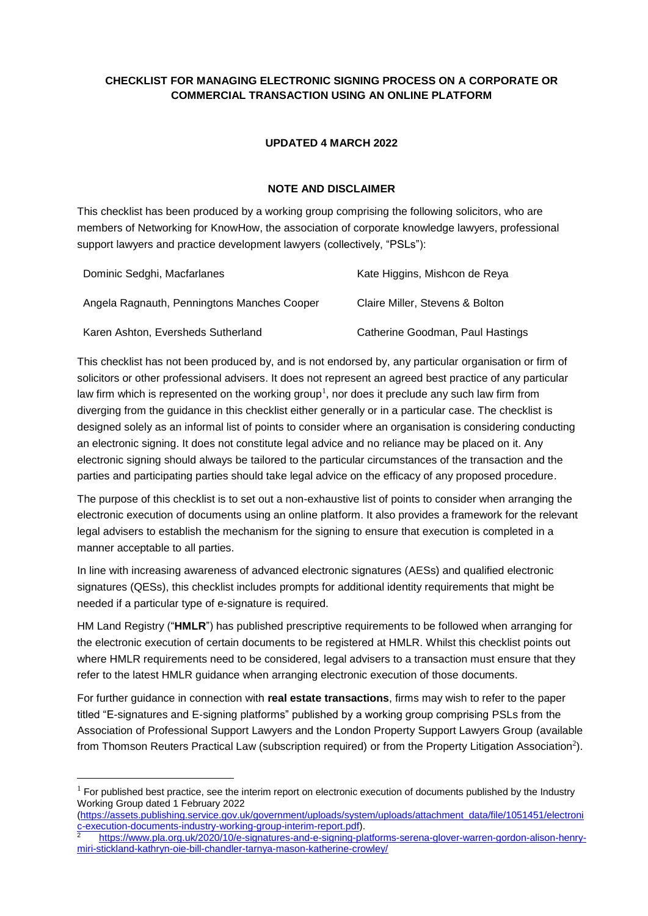# **CHECKLIST FOR MANAGING ELECTRONIC SIGNING PROCESS ON A CORPORATE OR COMMERCIAL TRANSACTION USING AN ONLINE PLATFORM**

#### **UPDATED 4 MARCH 2022**

#### **NOTE AND DISCLAIMER**

This checklist has been produced by a working group comprising the following solicitors, who are members of Networking for KnowHow, the association of corporate knowledge lawyers, professional support lawyers and practice development lawyers (collectively, "PSLs"):

| Dominic Sedghi, Macfarlanes                 | Kate Higgins, Mishcon de Reya    |
|---------------------------------------------|----------------------------------|
| Angela Ragnauth, Penningtons Manches Cooper | Claire Miller, Stevens & Bolton  |
| Karen Ashton, Eversheds Sutherland          | Catherine Goodman, Paul Hastings |

This checklist has not been produced by, and is not endorsed by, any particular organisation or firm of solicitors or other professional advisers. It does not represent an agreed best practice of any particular law firm which is represented on the working group<sup>1</sup>, nor does it preclude any such law firm from diverging from the guidance in this checklist either generally or in a particular case. The checklist is designed solely as an informal list of points to consider where an organisation is considering conducting an electronic signing. It does not constitute legal advice and no reliance may be placed on it. Any electronic signing should always be tailored to the particular circumstances of the transaction and the parties and participating parties should take legal advice on the efficacy of any proposed procedure.

The purpose of this checklist is to set out a non-exhaustive list of points to consider when arranging the electronic execution of documents using an online platform. It also provides a framework for the relevant legal advisers to establish the mechanism for the signing to ensure that execution is completed in a manner acceptable to all parties.

In line with increasing awareness of advanced electronic signatures (AESs) and qualified electronic signatures (QESs), this checklist includes prompts for additional identity requirements that might be needed if a particular type of e-signature is required.

HM Land Registry ("**HMLR**") has published prescriptive requirements to be followed when arranging for the electronic execution of certain documents to be registered at HMLR. Whilst this checklist points out where HMLR requirements need to be considered, legal advisers to a transaction must ensure that they refer to the latest HMLR guidance when arranging electronic execution of those documents.

For further guidance in connection with **real estate transactions**, firms may wish to refer to the paper titled "E-signatures and E-signing platforms" published by a working group comprising PSLs from the Association of Professional Support Lawyers and the London Property Support Lawyers Group (available from Thomson Reuters Practical Law (subscription required) or from the Property Litigation Association<sup>2</sup>).

l

 $<sup>1</sup>$  For published best practice, see the interim report on electronic execution of documents published by the Industry</sup> Working Group dated 1 February 2022

<sup>(</sup>https://assets.publishing.service.gov.uk/government/uploads/system/uploads/attachment\_data/file/1051451/electroni c-execution-documents-industry-working-group-interim-report.pdf).

<sup>2</sup> https://www.pla.org.uk/2020/10/e-signatures-and-e-signing-platforms-serena-glover-warren-gordon-alison-henrymiri-stickland-kathryn-oie-bill-chandler-tarnya-mason-katherine-crowley/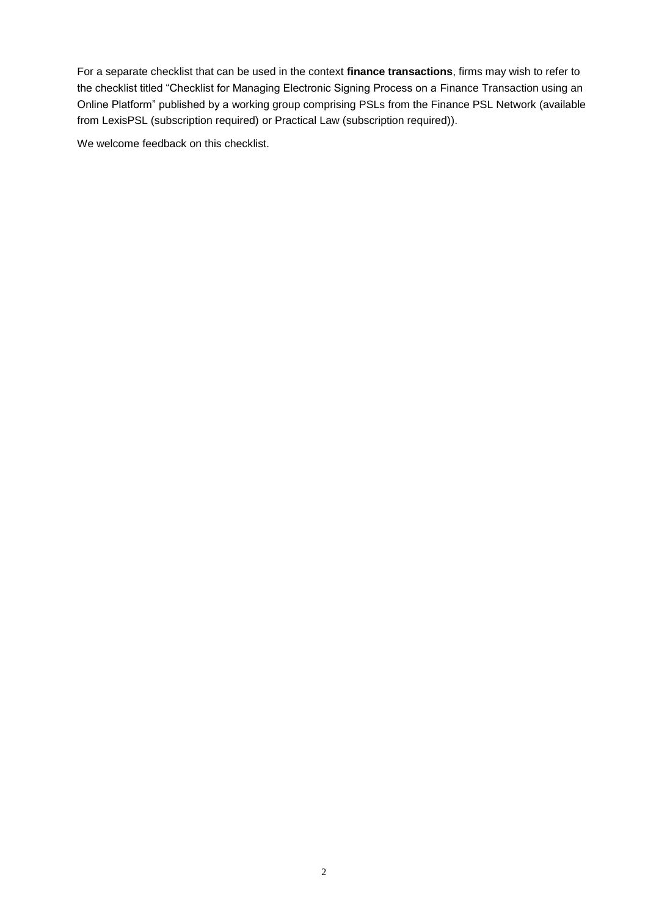For a separate checklist that can be used in the context **finance transactions**, firms may wish to refer to the checklist titled "Checklist for Managing Electronic Signing Process on a Finance Transaction using an Online Platform" published by a working group comprising PSLs from the Finance PSL Network (available from LexisPSL (subscription required) or Practical Law (subscription required)).

We welcome feedback on this checklist.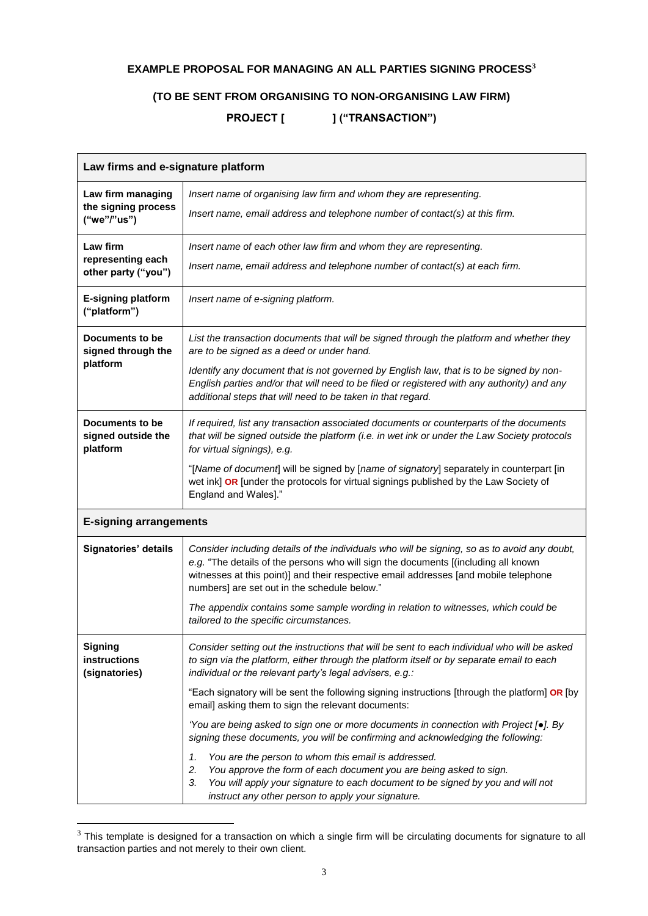# **EXAMPLE PROPOSAL FOR MANAGING AN ALL PARTIES SIGNING PROCESS<sup>3</sup>**

# **(TO BE SENT FROM ORGANISING TO NON-ORGANISING LAW FIRM)**

PROJECT [ ] ("TRANSACTION")

| Law firms and e-signature platform                                                                                                                                                                                                                                                                                                                 |                                                                                                                                                                                                                                                                                      |  |  |  |
|----------------------------------------------------------------------------------------------------------------------------------------------------------------------------------------------------------------------------------------------------------------------------------------------------------------------------------------------------|--------------------------------------------------------------------------------------------------------------------------------------------------------------------------------------------------------------------------------------------------------------------------------------|--|--|--|
| Law firm managing<br>the signing process                                                                                                                                                                                                                                                                                                           | Insert name of organising law firm and whom they are representing.                                                                                                                                                                                                                   |  |  |  |
| ("we"/"us")                                                                                                                                                                                                                                                                                                                                        | Insert name, email address and telephone number of contact(s) at this firm.                                                                                                                                                                                                          |  |  |  |
| Law firm<br>Insert name of each other law firm and whom they are representing.<br>representing each                                                                                                                                                                                                                                                |                                                                                                                                                                                                                                                                                      |  |  |  |
| other party ("you")                                                                                                                                                                                                                                                                                                                                | Insert name, email address and telephone number of contact(s) at each firm.                                                                                                                                                                                                          |  |  |  |
| <b>E-signing platform</b><br>("platform")                                                                                                                                                                                                                                                                                                          | Insert name of e-signing platform.                                                                                                                                                                                                                                                   |  |  |  |
| Documents to be<br>signed through the                                                                                                                                                                                                                                                                                                              | List the transaction documents that will be signed through the platform and whether they<br>are to be signed as a deed or under hand.                                                                                                                                                |  |  |  |
| platform                                                                                                                                                                                                                                                                                                                                           | Identify any document that is not governed by English law, that is to be signed by non-<br>English parties and/or that will need to be filed or registered with any authority) and any<br>additional steps that will need to be taken in that regard.                                |  |  |  |
| Documents to be<br>signed outside the<br>platform                                                                                                                                                                                                                                                                                                  | If required, list any transaction associated documents or counterparts of the documents<br>that will be signed outside the platform (i.e. in wet ink or under the Law Society protocols<br>for virtual signings), e.g.                                                               |  |  |  |
|                                                                                                                                                                                                                                                                                                                                                    | "[Name of document] will be signed by [name of signatory] separately in counterpart [in<br>wet ink] OR [under the protocols for virtual signings published by the Law Society of<br>England and Wales]."                                                                             |  |  |  |
| <b>E-signing arrangements</b>                                                                                                                                                                                                                                                                                                                      |                                                                                                                                                                                                                                                                                      |  |  |  |
| Signatories' details<br>Consider including details of the individuals who will be signing, so as to avoid any doubt,<br>e.g. "The details of the persons who will sign the documents [(including all known<br>witnesses at this point)] and their respective email addresses [and mobile telephone<br>numbers] are set out in the schedule below." |                                                                                                                                                                                                                                                                                      |  |  |  |
|                                                                                                                                                                                                                                                                                                                                                    | The appendix contains some sample wording in relation to witnesses, which could be<br>tailored to the specific circumstances.                                                                                                                                                        |  |  |  |
| <b>Signing</b><br>instructions<br>(signatories)                                                                                                                                                                                                                                                                                                    | Consider setting out the instructions that will be sent to each individual who will be asked<br>to sign via the platform, either through the platform itself or by separate email to each<br>individual or the relevant party's legal advisers, e.g.:                                |  |  |  |
|                                                                                                                                                                                                                                                                                                                                                    | "Each signatory will be sent the following signing instructions [through the platform] OR [by<br>email] asking them to sign the relevant documents:                                                                                                                                  |  |  |  |
|                                                                                                                                                                                                                                                                                                                                                    | 'You are being asked to sign one or more documents in connection with Project [•]. By<br>signing these documents, you will be confirming and acknowledging the following:                                                                                                            |  |  |  |
|                                                                                                                                                                                                                                                                                                                                                    | 1.<br>You are the person to whom this email is addressed.<br>2.<br>You approve the form of each document you are being asked to sign.<br>3.<br>You will apply your signature to each document to be signed by you and will not<br>instruct any other person to apply your signature. |  |  |  |

 $3$  This template is designed for a transaction on which a single firm will be circulating documents for signature to all transaction parties and not merely to their own client.

 $\overline{a}$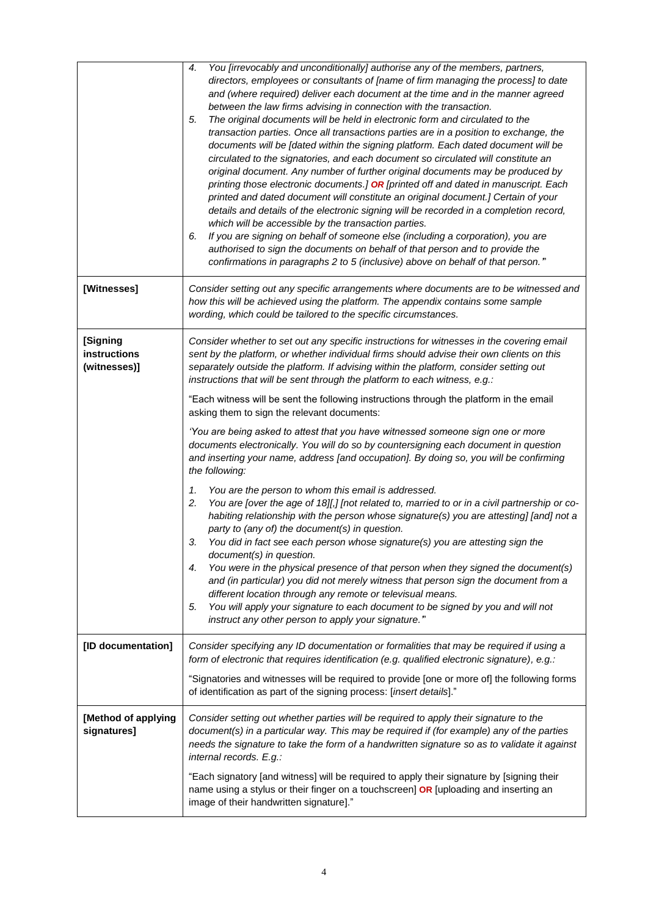|                                                 | You [irrevocably and unconditionally] authorise any of the members, partners,<br>4.<br>directors, employees or consultants of [name of firm managing the process] to date<br>and (where required) deliver each document at the time and in the manner agreed<br>between the law firms advising in connection with the transaction.<br>The original documents will be held in electronic form and circulated to the<br>5.<br>transaction parties. Once all transactions parties are in a position to exchange, the<br>documents will be [dated within the signing platform. Each dated document will be<br>circulated to the signatories, and each document so circulated will constitute an<br>original document. Any number of further original documents may be produced by<br>printing those electronic documents.] OR [printed off and dated in manuscript. Each<br>printed and dated document will constitute an original document.] Certain of your<br>details and details of the electronic signing will be recorded in a completion record,<br>which will be accessible by the transaction parties.<br>If you are signing on behalf of someone else (including a corporation), you are<br>6.<br>authorised to sign the documents on behalf of that person and to provide the<br>confirmations in paragraphs 2 to 5 (inclusive) above on behalf of that person."                                                                                                                                                                                                                                                            |  |  |
|-------------------------------------------------|------------------------------------------------------------------------------------------------------------------------------------------------------------------------------------------------------------------------------------------------------------------------------------------------------------------------------------------------------------------------------------------------------------------------------------------------------------------------------------------------------------------------------------------------------------------------------------------------------------------------------------------------------------------------------------------------------------------------------------------------------------------------------------------------------------------------------------------------------------------------------------------------------------------------------------------------------------------------------------------------------------------------------------------------------------------------------------------------------------------------------------------------------------------------------------------------------------------------------------------------------------------------------------------------------------------------------------------------------------------------------------------------------------------------------------------------------------------------------------------------------------------------------------------------------------------------------------------------------------------------------------|--|--|
| [Witnesses]                                     | Consider setting out any specific arrangements where documents are to be witnessed and<br>how this will be achieved using the platform. The appendix contains some sample<br>wording, which could be tailored to the specific circumstances.                                                                                                                                                                                                                                                                                                                                                                                                                                                                                                                                                                                                                                                                                                                                                                                                                                                                                                                                                                                                                                                                                                                                                                                                                                                                                                                                                                                       |  |  |
| [Signing<br><b>instructions</b><br>(witnesses)] | Consider whether to set out any specific instructions for witnesses in the covering email<br>sent by the platform, or whether individual firms should advise their own clients on this<br>separately outside the platform. If advising within the platform, consider setting out<br>instructions that will be sent through the platform to each witness, e.g.:<br>"Each witness will be sent the following instructions through the platform in the email<br>asking them to sign the relevant documents:<br>'You are being asked to attest that you have witnessed someone sign one or more<br>documents electronically. You will do so by countersigning each document in question<br>and inserting your name, address [and occupation]. By doing so, you will be confirming<br>the following:<br>You are the person to whom this email is addressed.<br>1.<br>You are [over the age of 18][,] [not related to, married to or in a civil partnership or co-<br>2.<br>habiting relationship with the person whose signature(s) you are attesting] [and] not a<br>party to (any of) the document(s) in question.<br>You did in fact see each person whose signature(s) you are attesting sign the<br>3.<br>document(s) in question.<br>You were in the physical presence of that person when they signed the document(s)<br>4.<br>and (in particular) you did not merely witness that person sign the document from a<br>different location through any remote or televisual means.<br>You will apply your signature to each document to be signed by you and will not<br>5.<br>instruct any other person to apply your signature." |  |  |
| [ID documentation]                              | Consider specifying any ID documentation or formalities that may be required if using a<br>form of electronic that requires identification (e.g. qualified electronic signature), e.g.:<br>"Signatories and witnesses will be required to provide [one or more of] the following forms<br>of identification as part of the signing process: [insert details]."                                                                                                                                                                                                                                                                                                                                                                                                                                                                                                                                                                                                                                                                                                                                                                                                                                                                                                                                                                                                                                                                                                                                                                                                                                                                     |  |  |
| [Method of applying<br>signatures]              | Consider setting out whether parties will be required to apply their signature to the<br>document(s) in a particular way. This may be required if (for example) any of the parties<br>needs the signature to take the form of a handwritten signature so as to validate it against<br>internal records. E.g.:<br>"Each signatory [and witness] will be required to apply their signature by [signing their<br>name using a stylus or their finger on a touchscreen] OR [uploading and inserting an<br>image of their handwritten signature]."                                                                                                                                                                                                                                                                                                                                                                                                                                                                                                                                                                                                                                                                                                                                                                                                                                                                                                                                                                                                                                                                                      |  |  |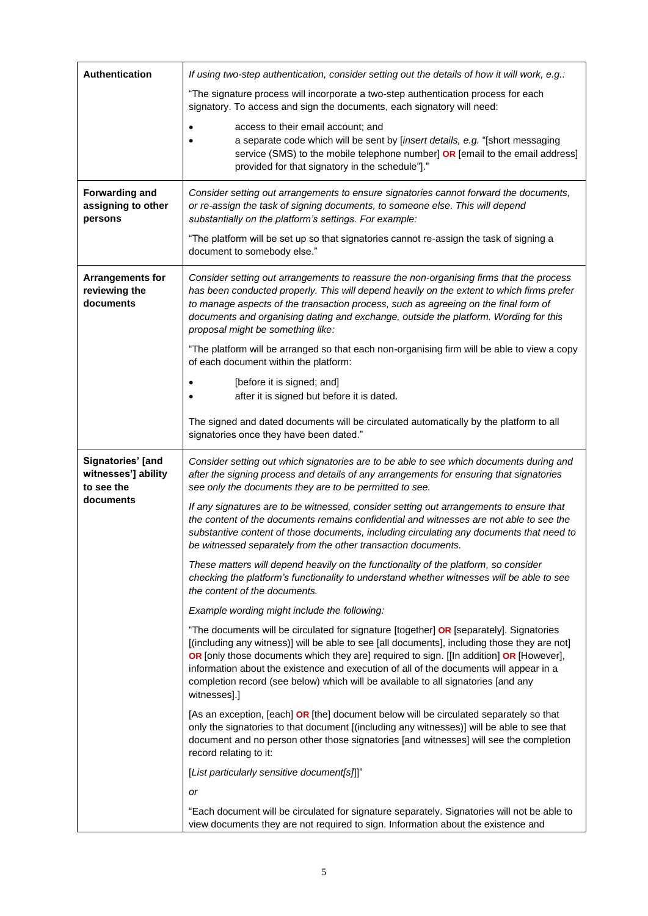| Authentication                                         | If using two-step authentication, consider setting out the details of how it will work, e.g.:                                                                                                                                                                                                                                                                                                                                                                                     |  |  |
|--------------------------------------------------------|-----------------------------------------------------------------------------------------------------------------------------------------------------------------------------------------------------------------------------------------------------------------------------------------------------------------------------------------------------------------------------------------------------------------------------------------------------------------------------------|--|--|
|                                                        | "The signature process will incorporate a two-step authentication process for each<br>signatory. To access and sign the documents, each signatory will need:                                                                                                                                                                                                                                                                                                                      |  |  |
|                                                        | access to their email account; and                                                                                                                                                                                                                                                                                                                                                                                                                                                |  |  |
|                                                        | a separate code which will be sent by [insert details, e.g. "[short messaging                                                                                                                                                                                                                                                                                                                                                                                                     |  |  |
|                                                        | service (SMS) to the mobile telephone number] OR [email to the email address]<br>provided for that signatory in the schedule"]."                                                                                                                                                                                                                                                                                                                                                  |  |  |
| <b>Forwarding and</b><br>assigning to other<br>persons | Consider setting out arrangements to ensure signatories cannot forward the documents,<br>or re-assign the task of signing documents, to someone else. This will depend<br>substantially on the platform's settings. For example:                                                                                                                                                                                                                                                  |  |  |
|                                                        | "The platform will be set up so that signatories cannot re-assign the task of signing a<br>document to somebody else."                                                                                                                                                                                                                                                                                                                                                            |  |  |
| <b>Arrangements for</b><br>reviewing the<br>documents  | Consider setting out arrangements to reassure the non-organising firms that the process<br>has been conducted properly. This will depend heavily on the extent to which firms prefer<br>to manage aspects of the transaction process, such as agreeing on the final form of<br>documents and organising dating and exchange, outside the platform. Wording for this<br>proposal might be something like:                                                                          |  |  |
|                                                        | "The platform will be arranged so that each non-organising firm will be able to view a copy<br>of each document within the platform:                                                                                                                                                                                                                                                                                                                                              |  |  |
|                                                        | [before it is signed; and]<br>after it is signed but before it is dated.                                                                                                                                                                                                                                                                                                                                                                                                          |  |  |
|                                                        | The signed and dated documents will be circulated automatically by the platform to all<br>signatories once they have been dated."                                                                                                                                                                                                                                                                                                                                                 |  |  |
| Signatories' [and<br>witnesses'] ability<br>to see the | Consider setting out which signatories are to be able to see which documents during and<br>after the signing process and details of any arrangements for ensuring that signatories<br>see only the documents they are to be permitted to see.                                                                                                                                                                                                                                     |  |  |
| documents                                              | If any signatures are to be witnessed, consider setting out arrangements to ensure that<br>the content of the documents remains confidential and witnesses are not able to see the<br>substantive content of those documents, including circulating any documents that need to<br>be witnessed separately from the other transaction documents.                                                                                                                                   |  |  |
|                                                        | These matters will depend heavily on the functionality of the platform, so consider<br>checking the platform's functionality to understand whether witnesses will be able to see<br>the content of the documents.                                                                                                                                                                                                                                                                 |  |  |
|                                                        | Example wording might include the following:                                                                                                                                                                                                                                                                                                                                                                                                                                      |  |  |
|                                                        | "The documents will be circulated for signature [together] OR [separately]. Signatories<br>[(including any witness)] will be able to see [all documents], including those they are not]<br>OR [only those documents which they are] required to sign. [[In addition] OR [However],<br>information about the existence and execution of all of the documents will appear in a<br>completion record (see below) which will be available to all signatories [and any<br>witnesses].] |  |  |
|                                                        | [As an exception, [each] OR [the] document below will be circulated separately so that<br>only the signatories to that document [(including any witnesses)] will be able to see that<br>document and no person other those signatories [and witnesses] will see the completion<br>record relating to it:                                                                                                                                                                          |  |  |
|                                                        | [List particularly sensitive document[s]]]"                                                                                                                                                                                                                                                                                                                                                                                                                                       |  |  |
|                                                        | or                                                                                                                                                                                                                                                                                                                                                                                                                                                                                |  |  |
|                                                        | "Each document will be circulated for signature separately. Signatories will not be able to<br>view documents they are not required to sign. Information about the existence and                                                                                                                                                                                                                                                                                                  |  |  |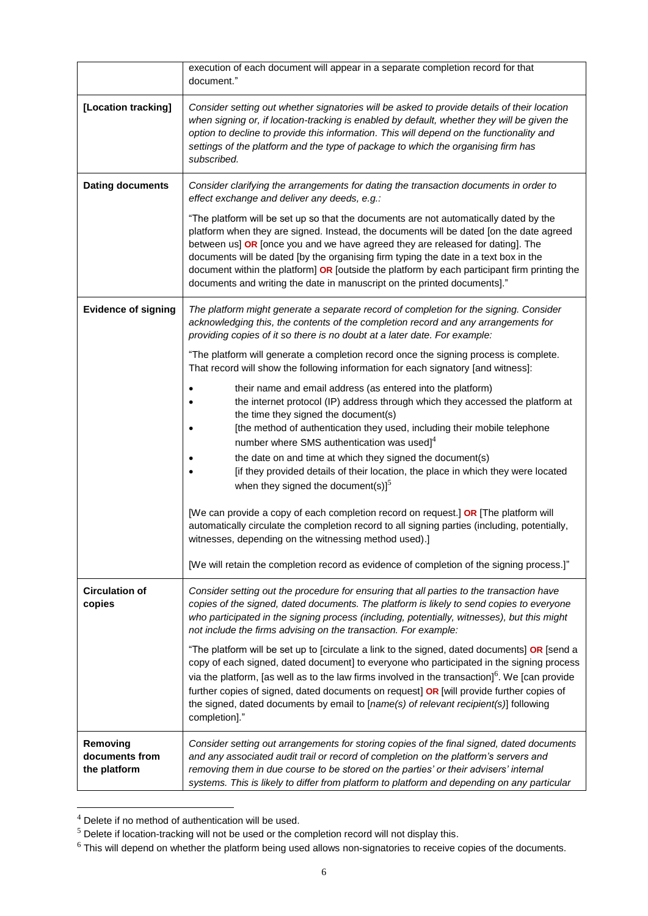|                                            | execution of each document will appear in a separate completion record for that<br>document."                                                                                                                                                                                                                                                                                                                                                                                                                                          |  |  |
|--------------------------------------------|----------------------------------------------------------------------------------------------------------------------------------------------------------------------------------------------------------------------------------------------------------------------------------------------------------------------------------------------------------------------------------------------------------------------------------------------------------------------------------------------------------------------------------------|--|--|
| [Location tracking]                        | Consider setting out whether signatories will be asked to provide details of their location<br>when signing or, if location-tracking is enabled by default, whether they will be given the<br>option to decline to provide this information. This will depend on the functionality and<br>settings of the platform and the type of package to which the organising firm has<br>subscribed.                                                                                                                                             |  |  |
| <b>Dating documents</b>                    | Consider clarifying the arrangements for dating the transaction documents in order to<br>effect exchange and deliver any deeds, e.g.:                                                                                                                                                                                                                                                                                                                                                                                                  |  |  |
|                                            | "The platform will be set up so that the documents are not automatically dated by the<br>platform when they are signed. Instead, the documents will be dated [on the date agreed<br>between us] OR [once you and we have agreed they are released for dating]. The<br>documents will be dated [by the organising firm typing the date in a text box in the<br>document within the platform] OR [outside the platform by each participant firm printing the<br>documents and writing the date in manuscript on the printed documents]." |  |  |
| <b>Evidence of signing</b>                 | The platform might generate a separate record of completion for the signing. Consider<br>acknowledging this, the contents of the completion record and any arrangements for<br>providing copies of it so there is no doubt at a later date. For example:                                                                                                                                                                                                                                                                               |  |  |
|                                            | "The platform will generate a completion record once the signing process is complete.<br>That record will show the following information for each signatory [and witness]:                                                                                                                                                                                                                                                                                                                                                             |  |  |
|                                            | their name and email address (as entered into the platform)<br>the internet protocol (IP) address through which they accessed the platform at<br>the time they signed the document(s)<br>[the method of authentication they used, including their mobile telephone<br>number where SMS authentication was used] $4$<br>the date on and time at which they signed the document(s)<br>[if they provided details of their location, the place in which they were located<br>when they signed the document(s) $]^{5}$                      |  |  |
|                                            | [We can provide a copy of each completion record on request.] OR [The platform will<br>automatically circulate the completion record to all signing parties (including, potentially,<br>witnesses, depending on the witnessing method used).]                                                                                                                                                                                                                                                                                          |  |  |
|                                            | [We will retain the completion record as evidence of completion of the signing process.]"                                                                                                                                                                                                                                                                                                                                                                                                                                              |  |  |
| <b>Circulation of</b><br>copies            | Consider setting out the procedure for ensuring that all parties to the transaction have<br>copies of the signed, dated documents. The platform is likely to send copies to everyone<br>who participated in the signing process (including, potentially, witnesses), but this might<br>not include the firms advising on the transaction. For example:                                                                                                                                                                                 |  |  |
|                                            | "The platform will be set up to [circulate a link to the signed, dated documents] OR [send a<br>copy of each signed, dated document] to everyone who participated in the signing process<br>via the platform, [as well as to the law firms involved in the transaction] <sup>6</sup> . We [can provide<br>further copies of signed, dated documents on request] OR [will provide further copies of<br>the signed, dated documents by email to [name(s) of relevant recipient(s)] following<br>completion]."                            |  |  |
| Removing<br>documents from<br>the platform | Consider setting out arrangements for storing copies of the final signed, dated documents<br>and any associated audit trail or record of completion on the platform's servers and<br>removing them in due course to be stored on the parties' or their advisers' internal<br>systems. This is likely to differ from platform to platform and depending on any particular                                                                                                                                                               |  |  |

 $4$  Delete if no method of authentication will be used.

l

<sup>&</sup>lt;sup>5</sup> Delete if location-tracking will not be used or the completion record will not display this.

<sup>&</sup>lt;sup>6</sup> This will depend on whether the platform being used allows non-signatories to receive copies of the documents.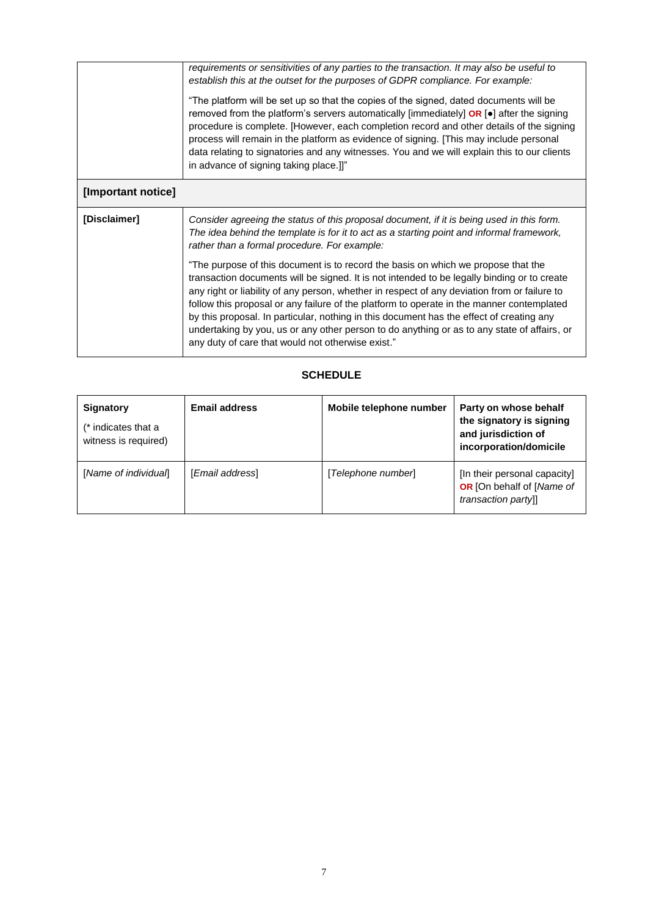|                    | requirements or sensitivities of any parties to the transaction. It may also be useful to<br>establish this at the outset for the purposes of GDPR compliance. For example:<br>"The platform will be set up so that the copies of the signed, dated documents will be<br>removed from the platform's servers automatically [immediately] $OR$ [ $\bullet$ ] after the signing<br>procedure is complete. [However, each completion record and other details of the signing<br>process will remain in the platform as evidence of signing. [This may include personal<br>data relating to signatories and any witnesses. You and we will explain this to our clients<br>in advance of signing taking place.]]" |  |  |  |
|--------------------|--------------------------------------------------------------------------------------------------------------------------------------------------------------------------------------------------------------------------------------------------------------------------------------------------------------------------------------------------------------------------------------------------------------------------------------------------------------------------------------------------------------------------------------------------------------------------------------------------------------------------------------------------------------------------------------------------------------|--|--|--|
| [Important notice] |                                                                                                                                                                                                                                                                                                                                                                                                                                                                                                                                                                                                                                                                                                              |  |  |  |
| [Disclaimer]       | Consider agreeing the status of this proposal document, if it is being used in this form.<br>The idea behind the template is for it to act as a starting point and informal framework,<br>rather than a formal procedure. For example:                                                                                                                                                                                                                                                                                                                                                                                                                                                                       |  |  |  |
|                    | "The purpose of this document is to record the basis on which we propose that the<br>transaction documents will be signed. It is not intended to be legally binding or to create<br>any right or liability of any person, whether in respect of any deviation from or failure to<br>follow this proposal or any failure of the platform to operate in the manner contemplated<br>by this proposal. In particular, nothing in this document has the effect of creating any<br>undertaking by you, us or any other person to do anything or as to any state of affairs, or<br>any duty of care that would not otherwise exist."                                                                                |  |  |  |

## **SCHEDULE**

| Signatory<br>(* indicates that a<br>witness is required) | <b>Email address</b> | Mobile telephone number | Party on whose behalf<br>the signatory is signing<br>and jurisdiction of<br>incorporation/domicile |
|----------------------------------------------------------|----------------------|-------------------------|----------------------------------------------------------------------------------------------------|
| [Name of individual]                                     | [Email address]      | [Telephone number]      | [In their personal capacity]<br>OR [On behalf of [Name of<br>transaction partyll                   |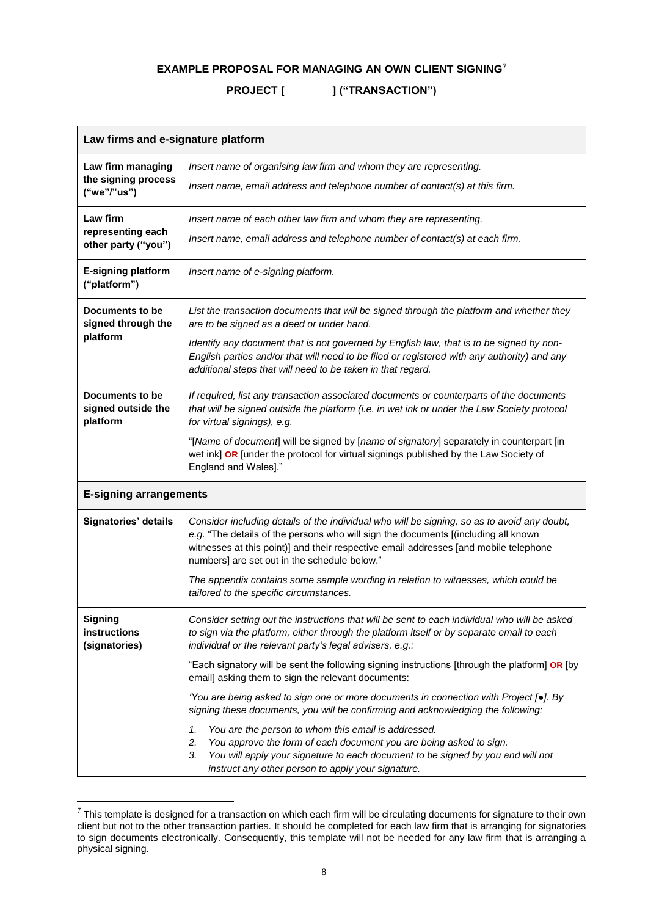## **EXAMPLE PROPOSAL FOR MANAGING AN OWN CLIENT SIGNING<sup>7</sup>**

# PROJECT [ ] ("TRANSACTION")

| Law firms and e-signature platform                      |                                                                                                                                                                                                                                                                                                                                                                                                                                                                                                                                                                                                                                                                                                                                       |  |  |
|---------------------------------------------------------|---------------------------------------------------------------------------------------------------------------------------------------------------------------------------------------------------------------------------------------------------------------------------------------------------------------------------------------------------------------------------------------------------------------------------------------------------------------------------------------------------------------------------------------------------------------------------------------------------------------------------------------------------------------------------------------------------------------------------------------|--|--|
| Law firm managing<br>the signing process<br>("we"/"us") | Insert name of organising law firm and whom they are representing.<br>Insert name, email address and telephone number of contact(s) at this firm.                                                                                                                                                                                                                                                                                                                                                                                                                                                                                                                                                                                     |  |  |
| Law firm<br>representing each<br>other party ("you")    | Insert name of each other law firm and whom they are representing.<br>Insert name, email address and telephone number of contact(s) at each firm.                                                                                                                                                                                                                                                                                                                                                                                                                                                                                                                                                                                     |  |  |
| <b>E-signing platform</b><br>("platform")               | Insert name of e-signing platform.                                                                                                                                                                                                                                                                                                                                                                                                                                                                                                                                                                                                                                                                                                    |  |  |
| Documents to be<br>signed through the<br>platform       | List the transaction documents that will be signed through the platform and whether they<br>are to be signed as a deed or under hand.<br>Identify any document that is not governed by English law, that is to be signed by non-<br>English parties and/or that will need to be filed or registered with any authority) and any<br>additional steps that will need to be taken in that regard.                                                                                                                                                                                                                                                                                                                                        |  |  |
| Documents to be<br>signed outside the<br>platform       | If required, list any transaction associated documents or counterparts of the documents<br>that will be signed outside the platform (i.e. in wet ink or under the Law Society protocol<br>for virtual signings), e.g.<br>"[Name of document] will be signed by [name of signatory] separately in counterpart [in<br>wet ink] OR [under the protocol for virtual signings published by the Law Society of<br>England and Wales]."                                                                                                                                                                                                                                                                                                      |  |  |
| <b>E-signing arrangements</b>                           |                                                                                                                                                                                                                                                                                                                                                                                                                                                                                                                                                                                                                                                                                                                                       |  |  |
| Signatories' details                                    | Consider including details of the individual who will be signing, so as to avoid any doubt,<br>e.g. "The details of the persons who will sign the documents [(including all known<br>witnesses at this point)] and their respective email addresses [and mobile telephone<br>numbers] are set out in the schedule below."<br>The appendix contains some sample wording in relation to witnesses, which could be<br>tailored to the specific circumstances.                                                                                                                                                                                                                                                                            |  |  |
| <b>Signing</b><br>instructions<br>(signatories)         | Consider setting out the instructions that will be sent to each individual who will be asked<br>to sign via the platform, either through the platform itself or by separate email to each<br>individual or the relevant party's legal advisers, e.g.:<br>"Each signatory will be sent the following signing instructions [through the platform] OR [by<br>email] asking them to sign the relevant documents:<br>'You are being asked to sign one or more documents in connection with Project $[•]$ . By<br>signing these documents, you will be confirming and acknowledging the following:<br>You are the person to whom this email is addressed.<br>1.<br>2.<br>You approve the form of each document you are being asked to sign. |  |  |
|                                                         | You will apply your signature to each document to be signed by you and will not<br>3.<br>instruct any other person to apply your signature.                                                                                                                                                                                                                                                                                                                                                                                                                                                                                                                                                                                           |  |  |

 $^7$  This template is designed for a transaction on which each firm will be circulating documents for signature to their own client but not to the other transaction parties. It should be completed for each law firm that is arranging for signatories to sign documents electronically. Consequently, this template will not be needed for any law firm that is arranging a physical signing.

 $\overline{a}$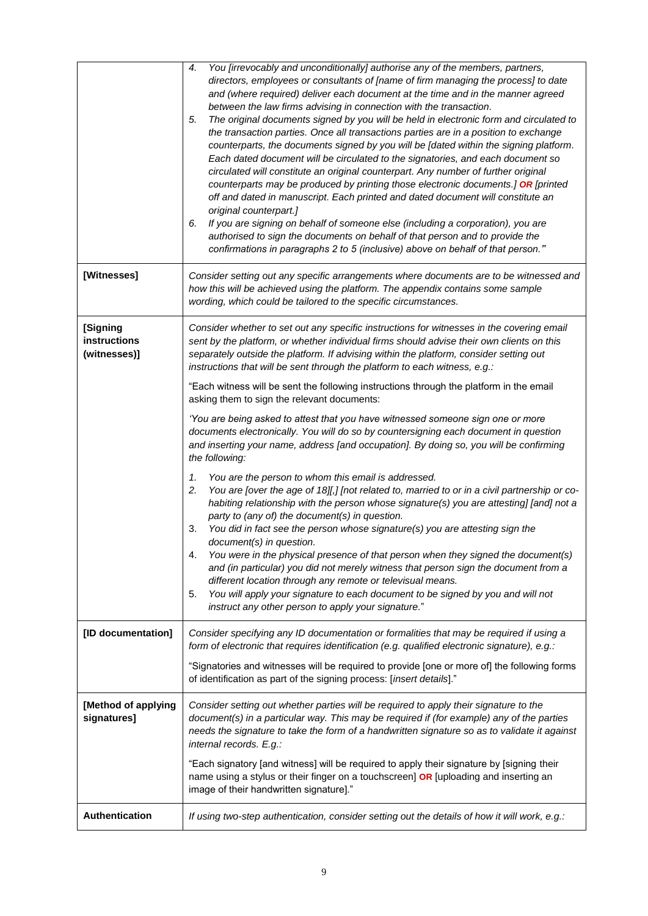|                                          | You [irrevocably and unconditionally] authorise any of the members, partners,<br>4.<br>directors, employees or consultants of [name of firm managing the process] to date<br>and (where required) deliver each document at the time and in the manner agreed<br>between the law firms advising in connection with the transaction.<br>5.<br>The original documents signed by you will be held in electronic form and circulated to<br>the transaction parties. Once all transactions parties are in a position to exchange<br>counterparts, the documents signed by you will be [dated within the signing platform.<br>Each dated document will be circulated to the signatories, and each document so<br>circulated will constitute an original counterpart. Any number of further original<br>counterparts may be produced by printing those electronic documents.] OR [printed<br>off and dated in manuscript. Each printed and dated document will constitute an<br>original counterpart.]<br>If you are signing on behalf of someone else (including a corporation), you are<br>6.<br>authorised to sign the documents on behalf of that person and to provide the<br>confirmations in paragraphs 2 to 5 (inclusive) above on behalf of that person." |  |
|------------------------------------------|------------------------------------------------------------------------------------------------------------------------------------------------------------------------------------------------------------------------------------------------------------------------------------------------------------------------------------------------------------------------------------------------------------------------------------------------------------------------------------------------------------------------------------------------------------------------------------------------------------------------------------------------------------------------------------------------------------------------------------------------------------------------------------------------------------------------------------------------------------------------------------------------------------------------------------------------------------------------------------------------------------------------------------------------------------------------------------------------------------------------------------------------------------------------------------------------------------------------------------------------------------|--|
| [Witnesses]                              | Consider setting out any specific arrangements where documents are to be witnessed and<br>how this will be achieved using the platform. The appendix contains some sample<br>wording, which could be tailored to the specific circumstances.                                                                                                                                                                                                                                                                                                                                                                                                                                                                                                                                                                                                                                                                                                                                                                                                                                                                                                                                                                                                               |  |
| [Signing<br>instructions<br>(witnesses)] | Consider whether to set out any specific instructions for witnesses in the covering email<br>sent by the platform, or whether individual firms should advise their own clients on this<br>separately outside the platform. If advising within the platform, consider setting out<br>instructions that will be sent through the platform to each witness, e.g.:                                                                                                                                                                                                                                                                                                                                                                                                                                                                                                                                                                                                                                                                                                                                                                                                                                                                                             |  |
|                                          | "Each witness will be sent the following instructions through the platform in the email<br>asking them to sign the relevant documents:                                                                                                                                                                                                                                                                                                                                                                                                                                                                                                                                                                                                                                                                                                                                                                                                                                                                                                                                                                                                                                                                                                                     |  |
|                                          | 'You are being asked to attest that you have witnessed someone sign one or more<br>documents electronically. You will do so by countersigning each document in question<br>and inserting your name, address [and occupation]. By doing so, you will be confirming<br>the following:                                                                                                                                                                                                                                                                                                                                                                                                                                                                                                                                                                                                                                                                                                                                                                                                                                                                                                                                                                        |  |
|                                          | You are the person to whom this email is addressed.<br>1.<br>You are [over the age of 18][,] [not related to, married to or in a civil partnership or co-<br>2.<br>habiting relationship with the person whose signature(s) you are attesting] [and] not a<br>party to (any of) the document(s) in question.<br>You did in fact see the person whose signature(s) you are attesting sign the<br>3.<br>document(s) in question.<br>You were in the physical presence of that person when they signed the document(s)<br>4.<br>and (in particular) you did not merely witness that person sign the document from a<br>different location through any remote or televisual means.<br>You will apply your signature to each document to be signed by you and will not<br>5.<br>instruct any other person to apply your signature."                                                                                                                                                                                                                                                                                                                                                                                                                             |  |
| [ID documentation]                       | Consider specifying any ID documentation or formalities that may be required if using a<br>form of electronic that requires identification (e.g. qualified electronic signature), e.g.:<br>"Signatories and witnesses will be required to provide [one or more of] the following forms                                                                                                                                                                                                                                                                                                                                                                                                                                                                                                                                                                                                                                                                                                                                                                                                                                                                                                                                                                     |  |
|                                          | of identification as part of the signing process: [insert details]."                                                                                                                                                                                                                                                                                                                                                                                                                                                                                                                                                                                                                                                                                                                                                                                                                                                                                                                                                                                                                                                                                                                                                                                       |  |
| [Method of applying<br>signatures]       | Consider setting out whether parties will be required to apply their signature to the<br>document(s) in a particular way. This may be required if (for example) any of the parties<br>needs the signature to take the form of a handwritten signature so as to validate it against<br>internal records. E.g.:                                                                                                                                                                                                                                                                                                                                                                                                                                                                                                                                                                                                                                                                                                                                                                                                                                                                                                                                              |  |
|                                          | "Each signatory [and witness] will be required to apply their signature by [signing their<br>name using a stylus or their finger on a touchscreen] OR [uploading and inserting an<br>image of their handwritten signature]."                                                                                                                                                                                                                                                                                                                                                                                                                                                                                                                                                                                                                                                                                                                                                                                                                                                                                                                                                                                                                               |  |
| Authentication                           | If using two-step authentication, consider setting out the details of how it will work, e.g.:                                                                                                                                                                                                                                                                                                                                                                                                                                                                                                                                                                                                                                                                                                                                                                                                                                                                                                                                                                                                                                                                                                                                                              |  |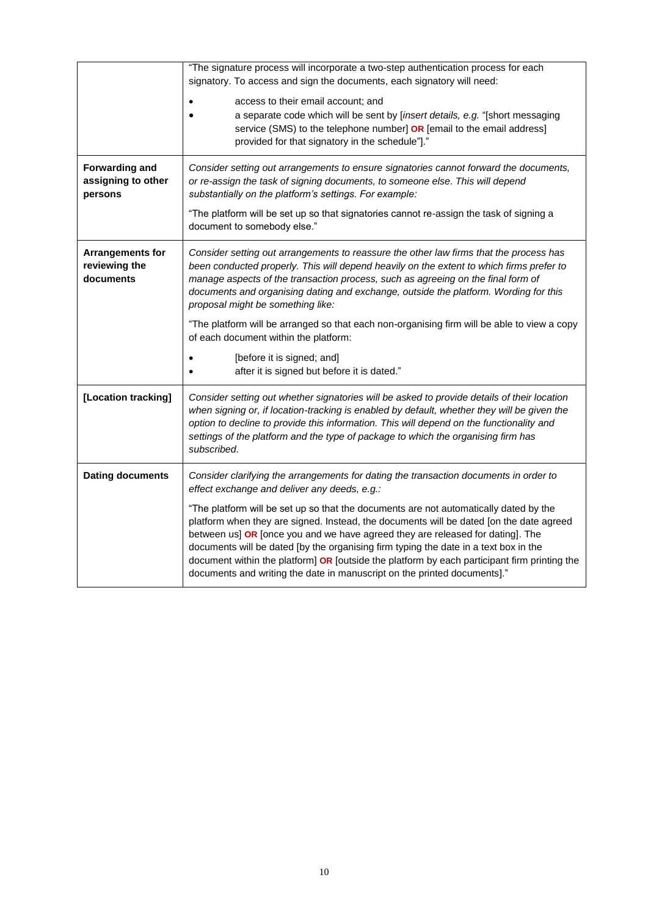| <b>Forwarding and</b><br>assigning to other<br>persons | "The signature process will incorporate a two-step authentication process for each<br>signatory. To access and sign the documents, each signatory will need:<br>access to their email account; and<br>a separate code which will be sent by [insert details, e.g. "[short messaging<br>service (SMS) to the telephone number] OR [email to the email address]<br>provided for that signatory in the schedule"]."<br>Consider setting out arrangements to ensure signatories cannot forward the documents,<br>or re-assign the task of signing documents, to someone else. This will depend<br>substantially on the platform's settings. For example: |  |
|--------------------------------------------------------|------------------------------------------------------------------------------------------------------------------------------------------------------------------------------------------------------------------------------------------------------------------------------------------------------------------------------------------------------------------------------------------------------------------------------------------------------------------------------------------------------------------------------------------------------------------------------------------------------------------------------------------------------|--|
|                                                        | "The platform will be set up so that signatories cannot re-assign the task of signing a<br>document to somebody else."                                                                                                                                                                                                                                                                                                                                                                                                                                                                                                                               |  |
| Arrangements for<br>reviewing the<br>documents         | Consider setting out arrangements to reassure the other law firms that the process has<br>been conducted properly. This will depend heavily on the extent to which firms prefer to<br>manage aspects of the transaction process, such as agreeing on the final form of<br>documents and organising dating and exchange, outside the platform. Wording for this<br>proposal might be something like:<br>"The platform will be arranged so that each non-organising firm will be able to view a copy<br>of each document within the platform:<br>[before it is signed; and]<br>after it is signed but before it is dated."                             |  |
| [Location tracking]                                    | Consider setting out whether signatories will be asked to provide details of their location<br>when signing or, if location-tracking is enabled by default, whether they will be given the<br>option to decline to provide this information. This will depend on the functionality and<br>settings of the platform and the type of package to which the organising firm has<br>subscribed.                                                                                                                                                                                                                                                           |  |
| <b>Dating documents</b>                                | Consider clarifying the arrangements for dating the transaction documents in order to<br>effect exchange and deliver any deeds, e.g.:                                                                                                                                                                                                                                                                                                                                                                                                                                                                                                                |  |
|                                                        | "The platform will be set up so that the documents are not automatically dated by the<br>platform when they are signed. Instead, the documents will be dated [on the date agreed<br>between us] OR [once you and we have agreed they are released for dating]. The<br>documents will be dated [by the organising firm typing the date in a text box in the<br>document within the platform] OR [outside the platform by each participant firm printing the<br>documents and writing the date in manuscript on the printed documents]."                                                                                                               |  |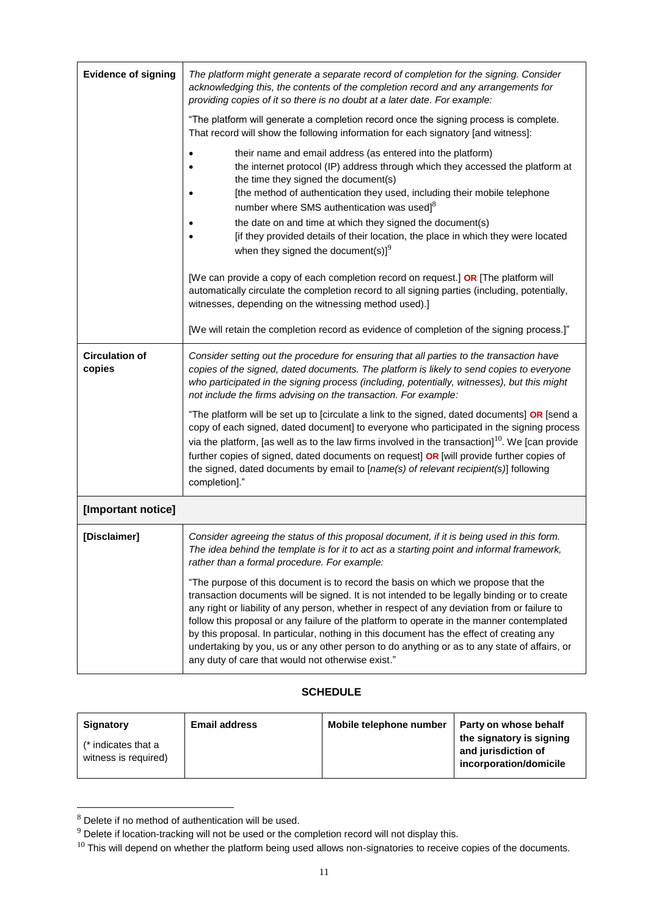| <b>Evidence of signing</b>      | The platform might generate a separate record of completion for the signing. Consider<br>acknowledging this, the contents of the completion record and any arrangements for<br>providing copies of it so there is no doubt at a later date. For example:<br>"The platform will generate a completion record once the signing process is complete.<br>That record will show the following information for each signatory [and witness]:                                                                                                                                                                                        |  |  |
|---------------------------------|-------------------------------------------------------------------------------------------------------------------------------------------------------------------------------------------------------------------------------------------------------------------------------------------------------------------------------------------------------------------------------------------------------------------------------------------------------------------------------------------------------------------------------------------------------------------------------------------------------------------------------|--|--|
|                                 |                                                                                                                                                                                                                                                                                                                                                                                                                                                                                                                                                                                                                               |  |  |
|                                 | their name and email address (as entered into the platform)<br>the internet protocol (IP) address through which they accessed the platform at<br>the time they signed the document(s)<br>[the method of authentication they used, including their mobile telephone<br>number where SMS authentication was used] <sup>8</sup>                                                                                                                                                                                                                                                                                                  |  |  |
|                                 | the date on and time at which they signed the document(s)                                                                                                                                                                                                                                                                                                                                                                                                                                                                                                                                                                     |  |  |
|                                 | [if they provided details of their location, the place in which they were located<br>when they signed the document(s)] $^{9}$                                                                                                                                                                                                                                                                                                                                                                                                                                                                                                 |  |  |
|                                 | [We can provide a copy of each completion record on request.] OR [The platform will<br>automatically circulate the completion record to all signing parties (including, potentially,<br>witnesses, depending on the witnessing method used).]                                                                                                                                                                                                                                                                                                                                                                                 |  |  |
|                                 | [We will retain the completion record as evidence of completion of the signing process.]"                                                                                                                                                                                                                                                                                                                                                                                                                                                                                                                                     |  |  |
| <b>Circulation of</b><br>copies | Consider setting out the procedure for ensuring that all parties to the transaction have<br>copies of the signed, dated documents. The platform is likely to send copies to everyone<br>who participated in the signing process (including, potentially, witnesses), but this might<br>not include the firms advising on the transaction. For example:                                                                                                                                                                                                                                                                        |  |  |
|                                 | "The platform will be set up to [circulate a link to the signed, dated documents] OR [send a<br>copy of each signed, dated document] to everyone who participated in the signing process<br>via the platform, [as well as to the law firms involved in the transaction] $^{10}$ . We [can provide<br>further copies of signed, dated documents on request] OR [will provide further copies of<br>the signed, dated documents by email to [name(s) of relevant recipient(s)] following<br>completion]."                                                                                                                        |  |  |
| [Important notice]              |                                                                                                                                                                                                                                                                                                                                                                                                                                                                                                                                                                                                                               |  |  |
| [Disclaimer]                    | Consider agreeing the status of this proposal document, if it is being used in this form.<br>The idea behind the template is for it to act as a starting point and informal framework,<br>rather than a formal procedure. For example:                                                                                                                                                                                                                                                                                                                                                                                        |  |  |
|                                 | "The purpose of this document is to record the basis on which we propose that the<br>transaction documents will be signed. It is not intended to be legally binding or to create<br>any right or liability of any person, whether in respect of any deviation from or failure to<br>follow this proposal or any failure of the platform to operate in the manner contemplated<br>by this proposal. In particular, nothing in this document has the effect of creating any<br>undertaking by you, us or any other person to do anything or as to any state of affairs, or<br>any duty of care that would not otherwise exist." |  |  |

# **SCHEDULE**

| Signatory<br>(* indicates that a<br>witness is required) | <b>Email address</b> | Mobile telephone number | Party on whose behalf<br>the signatory is signing<br>and jurisdiction of<br>incorporation/domicile |
|----------------------------------------------------------|----------------------|-------------------------|----------------------------------------------------------------------------------------------------|
|                                                          |                      |                         |                                                                                                    |

 $8$  Delete if no method of authentication will be used.

l

 $9$  Delete if location-tracking will not be used or the completion record will not display this.

 $^{10}$  This will depend on whether the platform being used allows non-signatories to receive copies of the documents.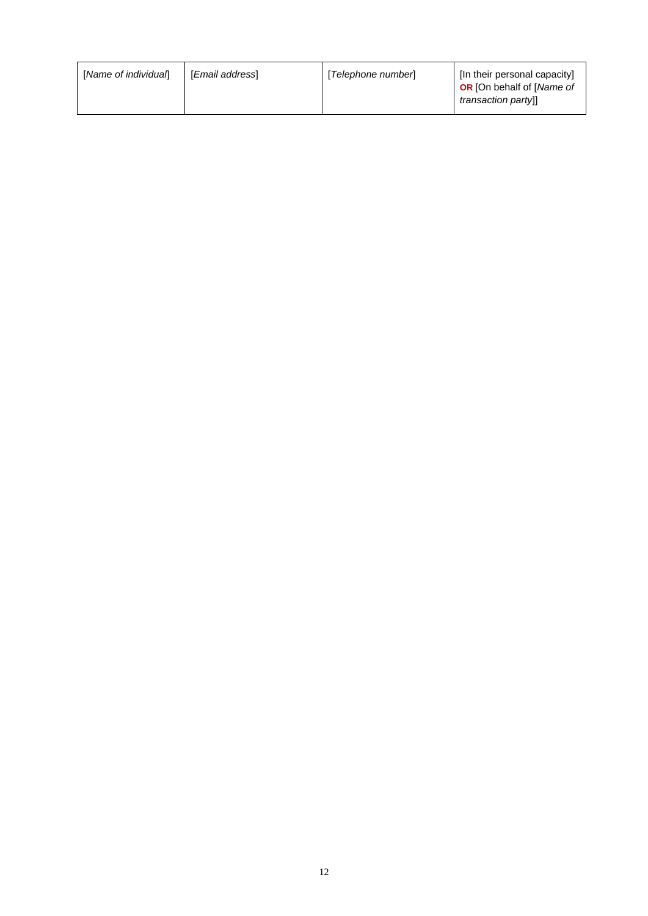| [Name of individual]<br>[ <i>Email address</i> ] | [Telephone number] | [In their personal capacity]<br><b>OR</b> [On behalf of [Name of<br>transaction partyll |
|--------------------------------------------------|--------------------|-----------------------------------------------------------------------------------------|
|--------------------------------------------------|--------------------|-----------------------------------------------------------------------------------------|